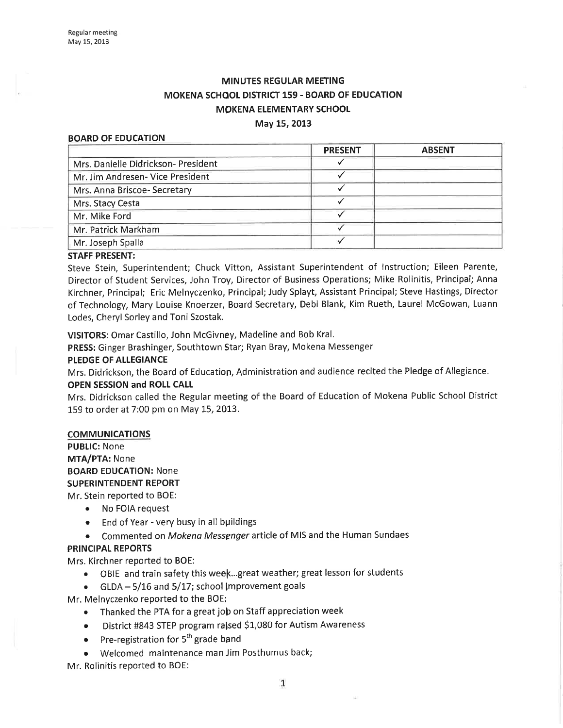# MINUTES REGULAR MEETING MOKENA SCHOOL DISTRICT 159 - BOARD OF EDUCATION MOKENA ELEMENTARY SCHOOL

#### May 15,2013

#### BOARD OF EDUCATION

|                                    | <b>PRESENT</b> | <b>ABSENT</b> |
|------------------------------------|----------------|---------------|
| Mrs. Danielle Didrickson-President |                |               |
| Mr. Jim Andresen- Vice President   |                |               |
| Mrs. Anna Briscoe- Secretary       |                |               |
| Mrs. Stacy Cesta                   |                |               |
| Mr. Mike Ford                      |                |               |
| Mr. Patrick Markham                |                |               |
| Mr. Joseph Spalla                  |                |               |

#### STAFF PRESENT:

Steve Stein, Superintendent; Chuck Vitton, Assistant Superintendent of lnstruction; Eileen Parente, Director of Student Services, John Troy, Director of Business Operations; Mike Rolinitis, Principal; Anna Kirchner, Principal; Eric Melnyczenko, Principal; Judy Splayt, Assistant Principal; Steve Hastings, Director of Technology, Mary Louise Knoerzer, Board Secretary, Debi Blank, Kim Rueth, Laurel McGowan, Luann Lodes, Cheryl Sorley and Toni Szostak.

VISITORS: Omar Castillo, John McGivney, Madeline and Bob Kral,

PRESS: Ginger Brashinger, Southtown Star; Ryan Bray, Mokena Messenger

#### PLEDGE OF ALLEGIANCE

Mrs. Didrickson, the Board of Education, Administration and audience recited the Pledge of Allegiance.

### OPEN SESSION and ROLL CALL

Mrs. Didrickson called the Regular meeting of the Board of Education of Mokena Public School District 159 to order at 7:00 pm on May 15,2013.

#### COMMUNICATIONS

PUBLIC: None MTA/PTA: None BOARD EDUCATION: None SUPERINTENDENT REPORT Mr. Stein reported to BOE:

- o No FOIA request
- $\bullet$  End of Year very busy in all buildings
- Commented on Mokena Messenger article of MIS and the Human Sundaes

## PRINCIPAL REPORTS

Mrs. Kirchner reported to BOE:

- OBIE and train safety this week...great weather; great lesson for students
- $\bullet$  GLDA 5/16 and 5/17; school Improvement goals

Mr. Melnyczenko reported to the BOE:

- o Thanked the PTA for a great joþ on Staff appreciation week
- District #843 STEP program rajsed \$1,080 for Autism Awareness
- $\bullet$  Pre-registration for  $5^{th}$  grade band
- ¡ Welcomed maintenance man Jim Posthumus back;

Mr. Rolinitis reported to BOE: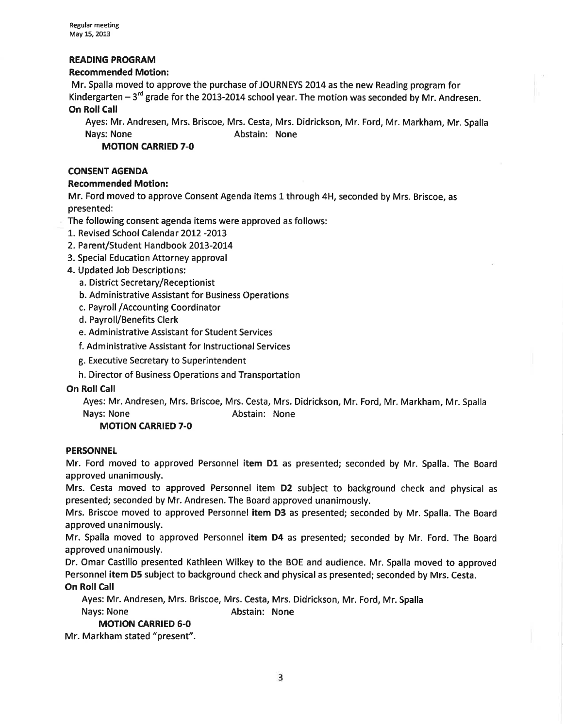## READING PROGRAM

## Recommended Motion:

Mr. Spalla moved to approve the purchase of JOURNEYS 20L4 as the new Reading program for Kindergarten  $-3^{rd}$  grade for the 2013-2014 school year. The motion was seconded by Mr. Andresen. On Roll Call

Ayes: Mr. Andresen, Mrs. Briscoe, Mrs. Cesta, Mrs. Didrickson, Mr. Ford, Mr. Markham, Mr. Spalla Nays: None **Abstain: None** 

MOTION CARRIED 7-O

## **CONSENT AGENDA**

## Recommended Motion:

Mr. Ford moved to approve Consent Agenda items L through 4H, seconded by Mrs. Briscoe, as presented:

The following consent agenda items were approved as follows:

- 1. Revised School Calendar 2012 -2013
- 2. Parent/Student Handbook 2013-2014
- 3. Special Education Attorney approval
- 4. Updated Job Descriptions:
	- a. District Secretary/Receptionist
	- b. Administrative Assístant for Business Operations
	- c. Payroll /Accounting Coordinator
	- d. Payroll/Benefits Clerk
	- e. Administrative Assistant for Student Services
	- f. Administrative Assistant for lnstructional Services
	- g. Executive Secretary to Superintendent
	- h. Director of Business Operations and Transportation

## **On Roll Call**

Ayes: Mr. Andresen, Mrs. Briscoe, Mrs. Cesta, Mrs. Didrickson, Mr. Ford, Mr. Markham, Mr. Spalla Nays: None **Abstain: None** 

## MOTION CARRIED 7.0

## **PERSONNEL**

Mr. Ford moved to approved Personnel item D1 as presented; seconded by Mr. Spalla. The Board approved unanimously.

Mrs. Cesta moved to approved Personnel item D2 subject to background check and physical as presented; seconded by Mr. Andresen. The Board approved unanimously.

Mrs. Briscoe moved to approved Personnel item D3 as presented; seconded by Mr. Spalla. The Board approved unanimously.

Mr. Spalla moved to approved Personnel item D4 as presented; seconded by Mr. Ford. The Board approved unanimously.

Dr. Omar Castillo presented Kathleen Wilkey to the BOE and audience. Mr. Spalla moved to approved Personnel item D5 subject to background check and physical as presented; seconded by Mrs. Cesta. **On Roll Call** 

Ayes: Mr. Andresen, Mrs. Briscoe, Mrs. Cesta, Mrs. Didrickson, Mr. Ford, Mr. Spalla

Nays: None **Abstain: None** 

## MOTION CARRIED 6.0

Mr. Markham stated "present".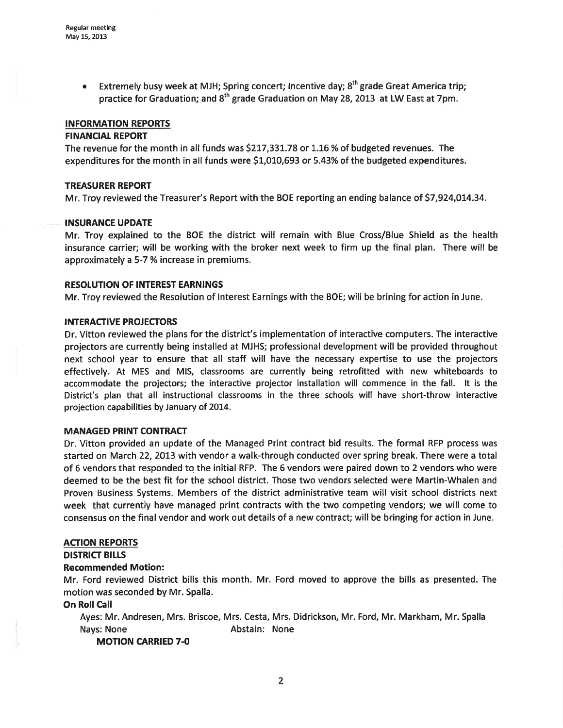**•** Extremely busy week at MJH; Spring concert; Incentive day;  $8<sup>th</sup>$  grade Great America trip; practice for Graduation; and  $8<sup>th</sup>$  grade Graduation on May 28, 2013 at LW East at 7pm.

#### INFORMATION REPORTS

#### **FINANCIAL REPORT**

The revenue for the month in all funds was \$217,331.78 or 1.16 % of budgeted revenues. The expenditures for the month in all funds were 5L,010,593 or 5.43% of the budgeted expenditures.

#### TREASURER REPORT

Mr. Troy reviewed the Treasurer's Report with the BOE reporting an ending balance of \$7,924,014.34.

#### INSURANCE UPDATE

Mr. Troy explained to the BOE the district will remain with Blue Cross/Blue Shietd as the health insurance carrier; will be working with the broker next week to firm up the final plan. There will be approximately a 5-7 % increase in premiums.

#### RESOLUTION OF INTEREST EARNINGS

Mr. Troy reviewed the Resolution of lnterest Earnings with the BOE; will be brining for action in June.

#### INTERACTIVE PROJECTORS

Dr. Vitton reviewed the plans for the district's implementation of interactive computers. The interactive projectors are currently being installed at MJHS; professional development will be provided throughout next school year to ensure that all staff will have the necessary expertise to use the projectors effectively. At MES and MlS, classrooms are currently being retrofitted with new whiteboards to accommodate the projectors; the interactive projector installation will commence in the fall. lt is the District's plan that all instructional classrooms in the three schools will have short-throw interactive projection capabilities by January of 2014.

#### MANAGED PRINT CONTRACT

Dr. Vitton provided an update of the Managed Print contract bid results. The formal RFP process was started on March 22, 2013 with vendor a walk-through conducted over spring break. There were a total of 6 vendors that responded to the initial RFP. The 6 vendors were paired down to 2 vendors who were deemed to be the best fit for the school district. Those two vendors selected were Martin-Whalen and Proven Business Systems. Members of the district administrative team will visit school districts next week that currently have managed print contracts with the two competing vendors; we will come to consensus on the final vendor and work out details of a new contract; will be bringing for action in June.

#### **ACTION REPORTS**

#### DISTRICT BILLS

## Recommended Motion:

Mr. Ford reviewed District bills this month. Mr. Ford moved to approve the bills as presented. The motion was seconded by Mr. Spalla.

#### **On Roll Call**

Ayes: Mr. Andresen, Mrs. Briscoe, Mrs. Cesta, Mrs. Didrickson, Mr. Ford, Mr. Markham, Mr. Spalla Nays: None Abstain: None

MOTION CARRIED 7.0